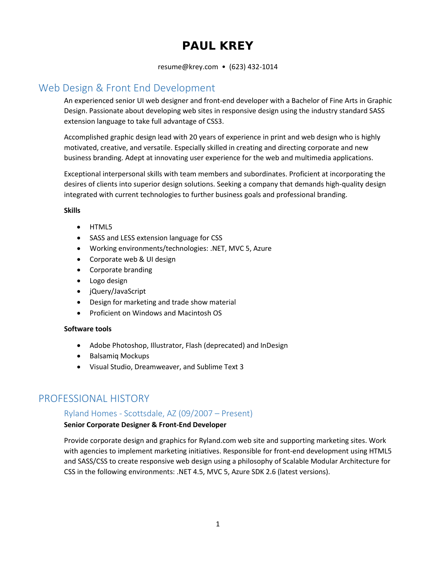# **PAUL KREY**

resume@krey.com • (623) 432-1014

## Web Design & Front End Development

An experienced senior UI web designer and front-end developer with a Bachelor of Fine Arts in Graphic Design. Passionate about developing web sites in responsive design using the industry standard SASS extension language to take full advantage of CSS3.

Accomplished graphic design lead with 20 years of experience in print and web design who is highly motivated, creative, and versatile. Especially skilled in creating and directing corporate and new business branding. Adept at innovating user experience for the web and multimedia applications.

Exceptional interpersonal skills with team members and subordinates. Proficient at incorporating the desires of clients into superior design solutions. Seeking a company that demands high-quality design integrated with current technologies to further business goals and professional branding.

### **Skills**

- HTML5
- SASS and LESS extension language for CSS
- Working environments/technologies: .NET, MVC 5, Azure
- Corporate web & UI design
- Corporate branding
- Logo design
- jQuery/JavaScript
- Design for marketing and trade show material
- Proficient on Windows and Macintosh OS

### **Software tools**

- Adobe Photoshop, Illustrator, Flash (deprecated) and InDesign
- Balsamiq Mockups
- Visual Studio, Dreamweaver, and Sublime Text 3

## PROFESSIONAL HISTORY

### Ryland Homes - Scottsdale, AZ (09/2007 – Present)

### **Senior Corporate Designer & Front-End Developer**

Provide corporate design and graphics for Ryland.com web site and supporting marketing sites. Work with agencies to implement marketing initiatives. Responsible for front-end development using HTML5 and SASS/CSS to create responsive web design using a philosophy of Scalable Modular Architecture for CSS in the following environments: .NET 4.5, MVC 5, Azure SDK 2.6 (latest versions).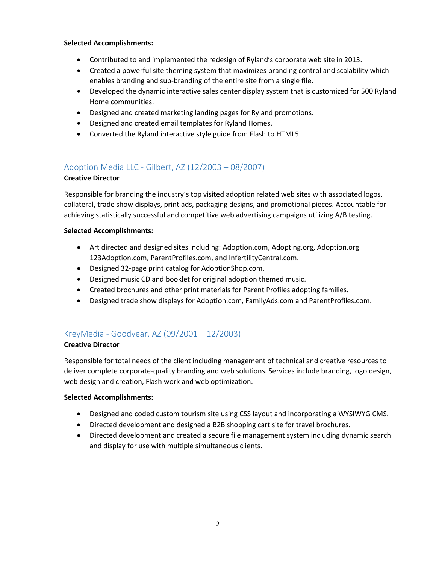### **Selected Accomplishments:**

- Contributed to and implemented the redesign of Ryland's corporate web site in 2013.
- Created a powerful site theming system that maximizes branding control and scalability which enables branding and sub-branding of the entire site from a single file.
- Developed the dynamic interactive sales center display system that is customized for 500 Ryland Home communities.
- Designed and created marketing landing pages for Ryland promotions.
- Designed and created email templates for Ryland Homes.
- Converted the Ryland interactive style guide from Flash to HTML5.

### Adoption Media LLC - Gilbert, AZ (12/2003 – 08/2007)

### **Creative Director**

Responsible for branding the industry's top visited adoption related web sites with associated logos, collateral, trade show displays, print ads, packaging designs, and promotional pieces. Accountable for achieving statistically successful and competitive web advertising campaigns utilizing A/B testing.

### **Selected Accomplishments:**

- Art directed and designed sites including: Adoption.com, Adopting.org, Adoption.org 123Adoption.com, ParentProfiles.com, and InfertilityCentral.com.
- Designed 32-page print catalog for AdoptionShop.com.
- Designed music CD and booklet for original adoption themed music.
- Created brochures and other print materials for Parent Profiles adopting families.
- Designed trade show displays for Adoption.com, FamilyAds.com and ParentProfiles.com.

### KreyMedia - Goodyear, AZ (09/2001 – 12/2003)

### **Creative Director**

Responsible for total needs of the client including management of technical and creative resources to deliver complete corporate-quality branding and web solutions. Services include branding, logo design, web design and creation, Flash work and web optimization.

### **Selected Accomplishments:**

- Designed and coded custom tourism site using CSS layout and incorporating a WYSIWYG CMS.
- Directed development and designed a B2B shopping cart site for travel brochures.
- Directed development and created a secure file management system including dynamic search and display for use with multiple simultaneous clients.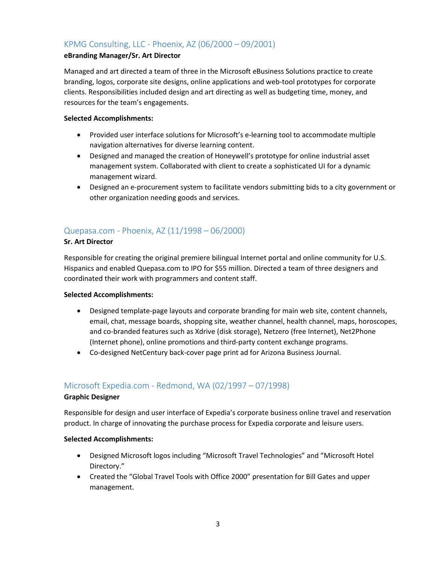### KPMG Consulting, LLC - Phoenix, AZ (06/2000 – 09/2001)

### **eBranding Manager/Sr. Art Director**

Managed and art directed a team of three in the Microsoft eBusiness Solutions practice to create branding, logos, corporate site designs, online applications and web-tool prototypes for corporate clients. Responsibilities included design and art directing as well as budgeting time, money, and resources for the team's engagements.

### **Selected Accomplishments:**

- Provided user interface solutions for Microsoft's e-learning tool to accommodate multiple navigation alternatives for diverse learning content.
- Designed and managed the creation of Honeywell's prototype for online industrial asset management system. Collaborated with client to create a sophisticated UI for a dynamic management wizard.
- Designed an e-procurement system to facilitate vendors submitting bids to a city government or other organization needing goods and services.

### Quepasa.com - Phoenix, AZ (11/1998 – 06/2000)

### **Sr. Art Director**

Responsible for creating the original premiere bilingual Internet portal and online community for U.S. Hispanics and enabled Quepasa.com to IPO for \$55 million. Directed a team of three designers and coordinated their work with programmers and content staff.

### **Selected Accomplishments:**

- Designed template-page layouts and corporate branding for main web site, content channels, email, chat, message boards, shopping site, weather channel, health channel, maps, horoscopes, and co-branded features such as Xdrive (disk storage), Netzero (free Internet), Net2Phone (Internet phone), online promotions and third-party content exchange programs.
- Co-designed NetCentury back-cover page print ad for Arizona Business Journal.

### Microsoft Expedia.com - Redmond, WA (02/1997 – 07/1998)

### **Graphic Designer**

Responsible for design and user interface of Expedia's corporate business online travel and reservation product. In charge of innovating the purchase process for Expedia corporate and leisure users.

### **Selected Accomplishments:**

- Designed Microsoft logos including "Microsoft Travel Technologies" and "Microsoft Hotel Directory."
- Created the "Global Travel Tools with Office 2000" presentation for Bill Gates and upper management.